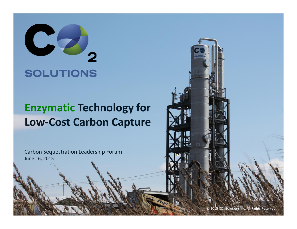

#### **Enzymatic Technology for Low-Cost Carbon Capture**

Carbon Sequestration Leadership Forum June 16, 2015

© 2015 CO<sub>2</sub> Solutions Inc. All Rights Reserved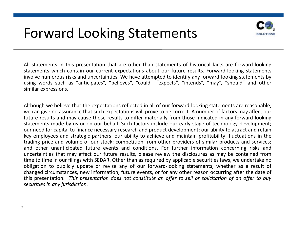#### Forward Looking Statements



All statements in this presentation that are other than statements of historical facts are forward-looking statements which contain our current expectations about our future results. Forward-looking statements involve numerous risks and uncertainties. We have attempted to identify any forward-looking statements by using words such as "anticipates", "believes", "could", "expects", "intends", "may", "should" and other similar expressions.

Although we believe that the expectations reflected in all of our forward-looking statements are reasonable, we can give no assurance that such expectations will prove to be correct. A number of factors may affect our future results and may cause those results to differ materially from those indicated in any forward-looking statements made by us or on our behalf. Such factors include our early stage of technology development; our need for capital to finance necessary research and product development; our ability to attract and retain key employees and strategic partners; our ability to achieve and maintain profitability; fluctuations in the trading price and volume of our stock; competition from other providers of similar products and services; and other unanticipated future events and conditions. For further information concerning risks and uncertainties that may affect our future results, please review the disclosures as may be contained from time to time in our filings with SEDAR. Other than as required by applicable securities laws, we undertake no obligation to publicly update or revise any of our forward-looking statements, whether as a result of changed circumstances, new information, future events, or for any other reason occurring after the date of this presentation. *This presentation does not constitute an offer to sell or solicitation of an offer to buy securities in any jurisdiction.*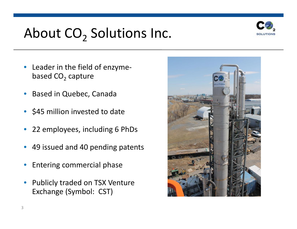## About  $CO<sub>2</sub>$  Solutions Inc.



- Leader in the field of enzyme based  $CO<sub>2</sub>$  capture
- Based in Quebec, Canada
- \$45 million invested to date
- 22 employees, including 6 PhDs
- 49 issued and 40 pending patents
- Entering commercial phase
- Publicly traded on TSX Venture Exchange (Symbol: CST)

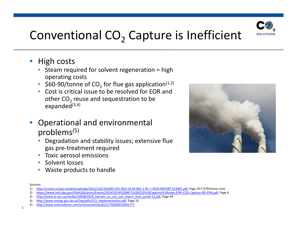

#### Conventional  $CO<sub>2</sub>$  Capture is Inefficient

- High costs
	- Steam required for solvent regeneration  $=$  high operating costs
	- \$60-90/tonne of CO<sub>2</sub> for flue gas application<sup>(1,2)</sup>
	- Cost is critical issue to be resolved for EOR and other  $CO<sub>2</sub>$  reuse and sequestration to be expanded $(3,4)$
- Operational and environmental problems(5)
	- Degradation and stability issues; extensive flue gas pre-treatment required
	- Toxic aerosol emissions
	- Solvent losses
	- Waste products to handle



Sources:

<sup>1)</sup> http://ccemc.ca/wp-content/uploads/2012/12/C101033-HTC-DEV-JA-03-001-1-R1-+-FEED-REPORT-CCEMC.pdf, Page 19 (~\$70/tonne cost)

<sup>2)</sup> https://www.netl.doe.gov/File%20Library/Events/2014/2014%20NETL%20CO2%20Capture/A-Bhown-EPRI-CO2-Capture-RD-EPRI.pdf, Page 6

<sup>3)</sup> http://www.ai-ees.ca/media/10958/2010\_barriers\_to\_co2\_eor\_report\_final\_june4-13.pdf, Page 44

<sup>4)</sup> http://www.energy.gov.ab.ca/Org/pdfs/CCS\_Implementation.pdf, Page 10

<sup>4&</sup>lt;sup>2, 2</sup> 5) http://www.sciencedirect.com/science/article/pii/S1750583614001777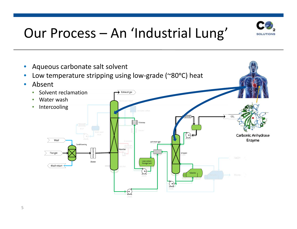

## Our Process – An 'Industrial Lung'

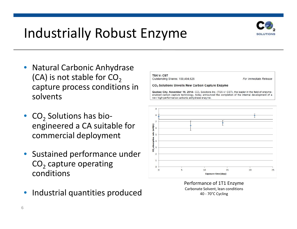

#### Industrially Robust Enzyme

- Natural Carbonic Anhydrase (CA) is not stable for  $CO<sub>2</sub>$ solvents
- $\begin{array}{c|c} \text{CO}_2 \text{ Solutions has bio-} \ \text{engineered a CA suitable for} \ \text{commercial deployment} \end{array}$ commercial deployment
- Sustained performance under  $CO<sub>2</sub>$  capture operating conditions
- Industrial quantities produced



Performance of 1T1 Enzyme Carbonate Solvent, lean conditions 40 - 70°C Cycling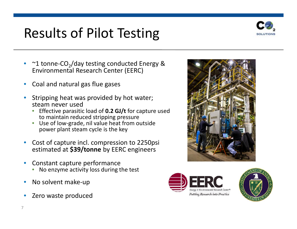## Results of Pilot Testing



- $\sim$ 1 tonne-CO<sub>2</sub>/day testing conducted Energy & Environmental Research Center (EERC)
- Coal and natural gas flue gases
- Stripping heat was provided by hot water; steam never used
	- Effective parasitic load of **0.2 GJ/t** for capture used to maintain reduced stripping pressure
	- Use of low-grade, nil value heat from outside power plant steam cycle is the key
- Cost of capture incl. compression to 2250psi estimated at **\$39/tonne** by EERC engineers
- Constant capture performance
	- No enzyme activity loss during the test
- No solvent make-up
- Zero waste produced





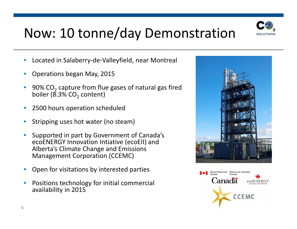

## Now: 10 tonne/day Demonstration

- Located in Salaberry-de-Valleyfield, near Montreal
- Operations began May, 2015
- $90\%$  CO<sub>2</sub> capture from flue gases of natural gas fired boiler ( $8.3\%$  CO<sub>2</sub> content)
- 2500 hours operation scheduled
- Stripping uses hot water (no steam)
- Supported in part by Government of Canada's ecoENERGY Innovation Intiative (ecoEII) and Alberta's Climate Change and Emissions Management Corporation (CCEMC)
- Open for visitations by interested parties
- Positions technology for initial commercial availability in 2015



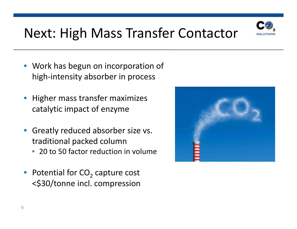

# Next: High Mass Transfer Contactor

- Work has begun on incorporation of high-intensity absorber in process
- Higher mass transfer maximizes catalytic impact of enzyme
- Greatly reduced absorber size vs. traditional packed column
	- 20 to 50 factor reduction in volume
- Potential for  $CO<sub>2</sub>$  capture cost <\$30/tonne incl. compression

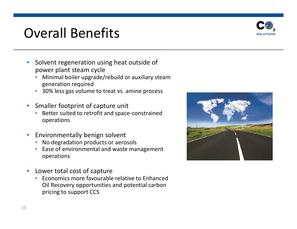#### Overall Benefits



- Solvent regeneration using heat outside of power plant steam cycle
	- Minimal boiler upgrade/rebuild or auxiliary steam generation required
	- 30% less gas volume to treat vs. amine process
- Smaller footprint of capture unit
	- Better suited to retrofit and space-constrained operations
- Environmentally benign solvent
	- No degradation products or aerosols
	- Ease of environmental and waste management operations
- Lower total cost of capture
	- Economics more favourable relative to Enhanced Oil Recovery opportunities and potential carbon pricing to support CCS